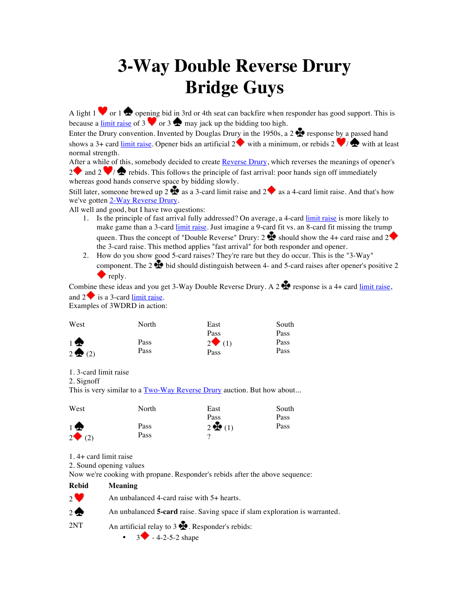## **3-Way Double Reverse Drury Bridge Guys**

A light 1  $\bullet$  or 1  $\bullet$  opening bid in 3rd or 4th seat can backfire when responder has good support. This is because a limit raise of 3  $\bullet$  or 3  $\bullet$  may jack up the bidding too high.

Enter the Drury convention. Invented by Douglas Drury in the 1950s, a 2  $\bullet$  response by a passed hand shows a 3+ card <u>limit raise</u>. Opener bids an artificial 2 with a minimum, or rebids 2  $\bullet$  /  $\bullet$  with at least normal strength.

After a while of this, somebody decided to create Reverse Drury, which reverses the meanings of opener's  $2 \bullet$  and  $2 \bullet$  rebids. This follows the principle of fast arrival: poor hands sign off immediately whereas good hands conserve space by bidding slowly.

Still later, someone brewed up 2  $\bullet$  as a 3-card limit raise and 2  $\bullet$  as a 4-card limit raise. And that's how we've gotten 2-Way Reverse Drury.

All well and good, but I have two questions:

- 1. Is the principle of fast arrival fully addressed? On average, a 4-card limit raise is more likely to make game than a 3-card *limit raise*. Just imagine a 9-card fit vs. an 8-card fit missing the trump queen. Thus the concept of "Double Reverse" Drury: 2  $\bullet$  should show the 4+ card raise and 2 the 3-card raise. This method applies "fast arrival" for both responder and opener.
- 2. How do you show good 5-card raises? They're rare but they do occur. This is the "3-Way" component. The  $2 \pm 0$  bid should distinguish between 4- and 5-card raises after opener's positive 2  $\bullet$  reply.

Combine these ideas and you get 3-Way Double Reverse Drury. A 2 **th** response is a 4+ card limit raise, and  $2 \blacktriangleright$  is a 3-card limit raise.

Examples of 3WDRD in action:

| West              | North | East                  | South |
|-------------------|-------|-----------------------|-------|
|                   |       | Pass                  | Pass  |
| 1♠                | Pass  | $2 \blacklozenge$ (1) | Pass  |
| $2 \bigoplus (2)$ | Pass  | Pass                  | Pass  |

1. 3-card limit raise

2. Signoff

This is very similar to a  $Two-Way$  Reverse Drury auction. But how about...

| West                | North | East           | South |
|---------------------|-------|----------------|-------|
|                     |       | Pass           | Pass  |
| $\mathbf{1}$        | Pass  | $2 \oplus (1)$ | Pass  |
| $2 \rightarrow (2)$ | Pass  |                |       |

1. 4+ card limit raise

2. Sound opening values

Now we're cooking with propane. Responder's rebids after the above sequence:

**Rebid Meaning** 2 An unbalanced 4-card raise with  $5+$  hearts. 2 An unbalanced **5-card** raise. Saving space if slam exploration is warranted.  $2NT$  An artificial relay to  $3 \cdot \cdot \cdot$  Responder's rebids:

 $3 \rightarrow -4-2-5-2$  shape